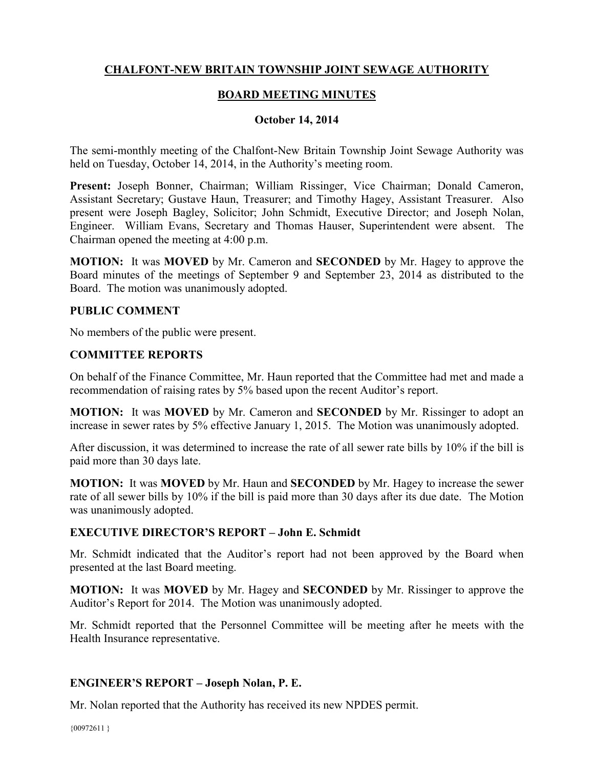# **CHALFONT-NEW BRITAIN TOWNSHIP JOINT SEWAGE AUTHORITY**

## **BOARD MEETING MINUTES**

### **October 14, 2014**

The semi-monthly meeting of the Chalfont-New Britain Township Joint Sewage Authority was held on Tuesday, October 14, 2014, in the Authority's meeting room.

**Present:** Joseph Bonner, Chairman; William Rissinger, Vice Chairman; Donald Cameron, Assistant Secretary; Gustave Haun, Treasurer; and Timothy Hagey, Assistant Treasurer. Also present were Joseph Bagley, Solicitor; John Schmidt, Executive Director; and Joseph Nolan, Engineer. William Evans, Secretary and Thomas Hauser, Superintendent were absent. The Chairman opened the meeting at 4:00 p.m.

**MOTION:** It was **MOVED** by Mr. Cameron and **SECONDED** by Mr. Hagey to approve the Board minutes of the meetings of September 9 and September 23, 2014 as distributed to the Board. The motion was unanimously adopted.

#### **PUBLIC COMMENT**

No members of the public were present.

## **COMMITTEE REPORTS**

On behalf of the Finance Committee, Mr. Haun reported that the Committee had met and made a recommendation of raising rates by 5% based upon the recent Auditor's report.

**MOTION:** It was **MOVED** by Mr. Cameron and **SECONDED** by Mr. Rissinger to adopt an increase in sewer rates by 5% effective January 1, 2015. The Motion was unanimously adopted.

After discussion, it was determined to increase the rate of all sewer rate bills by 10% if the bill is paid more than 30 days late.

**MOTION:** It was **MOVED** by Mr. Haun and **SECONDED** by Mr. Hagey to increase the sewer rate of all sewer bills by 10% if the bill is paid more than 30 days after its due date. The Motion was unanimously adopted.

### **EXECUTIVE DIRECTOR'S REPORT – John E. Schmidt**

Mr. Schmidt indicated that the Auditor's report had not been approved by the Board when presented at the last Board meeting.

**MOTION:** It was **MOVED** by Mr. Hagey and **SECONDED** by Mr. Rissinger to approve the Auditor's Report for 2014. The Motion was unanimously adopted.

Mr. Schmidt reported that the Personnel Committee will be meeting after he meets with the Health Insurance representative.

### **ENGINEER'S REPORT – Joseph Nolan, P. E.**

Mr. Nolan reported that the Authority has received its new NPDES permit.